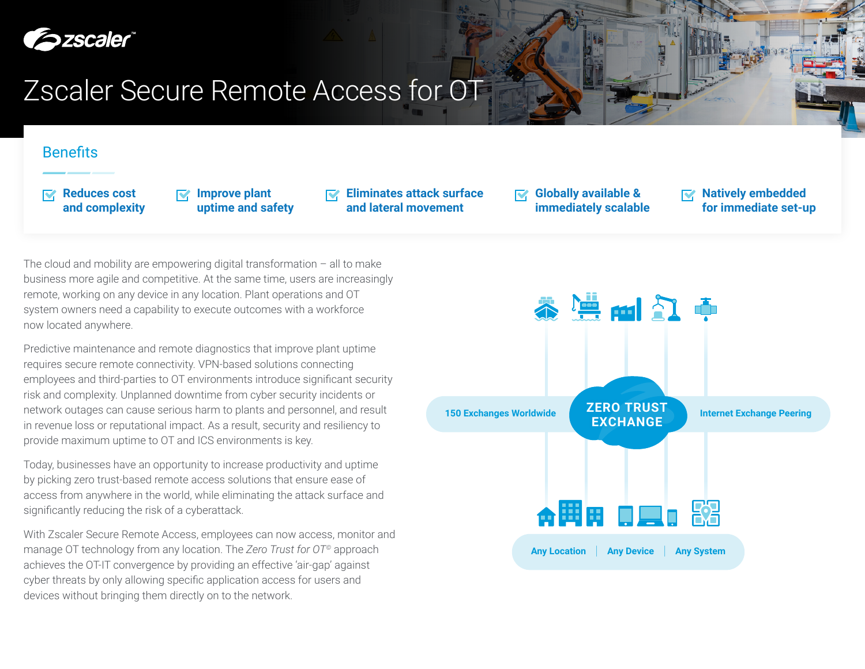

# Zscaler Secure Remote Access for OT

## **Benefits**

**Reduces cost and complexity** **Improve plant uptime and safety** **Eliminates attack surface and lateral movement**

**Globally available &**   $\nabla$ **immediately scalable** **Natively embedded for immediate set-up**

The cloud and mobility are empowering digital transformation  $-$  all to make business more agile and competitive. At the same time, users are increasingly remote, working on any device in any location. Plant operations and OT system owners need a capability to execute outcomes with a workforce now located anywhere.

Predictive maintenance and remote diagnostics that improve plant uptime requires secure remote connectivity. VPN-based solutions connecting employees and third-parties to OT environments introduce significant security risk and complexity. Unplanned downtime from cyber security incidents or network outages can cause serious harm to plants and personnel, and result in revenue loss or reputational impact. As a result, security and resiliency to provide maximum uptime to OT and ICS environments is key.

Today, businesses have an opportunity to increase productivity and uptime by picking zero trust-based remote access solutions that ensure ease of access from anywhere in the world, while eliminating the attack surface and significantly reducing the risk of a cyberattack.

With Zscaler Secure Remote Access, employees can now access, monitor and manage OT technology from any location. The *Zero Trust for OT©* approach achieves the OT-IT convergence by providing an effective 'air-gap' against cyber threats by only allowing specific application access for users and devices without bringing them directly on to the network.

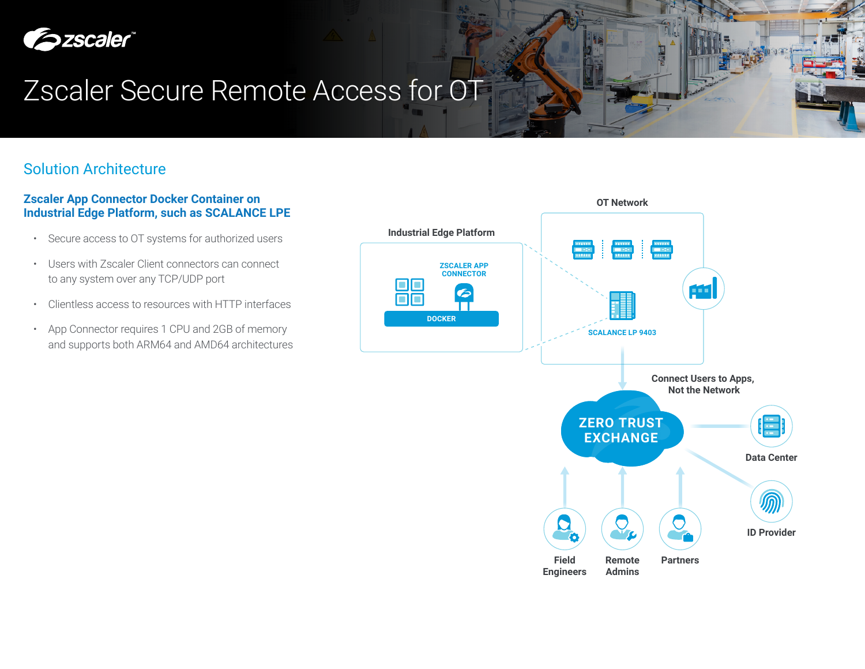

# Zscaler Secure Remote Access for OT

# Solution Architecture

## **Zscaler App Connector Docker Container on Industrial Edge Platform, such as SCALANCE LPE**

- Secure access to OT systems for authorized users
- Users with Zscaler Client connectors can connect to any system over any TCP/UDP port
- Clientless access to resources with HTTP interfaces
- App Connector requires 1 CPU and 2GB of memory and supports both ARM64 and AMD64 architectures